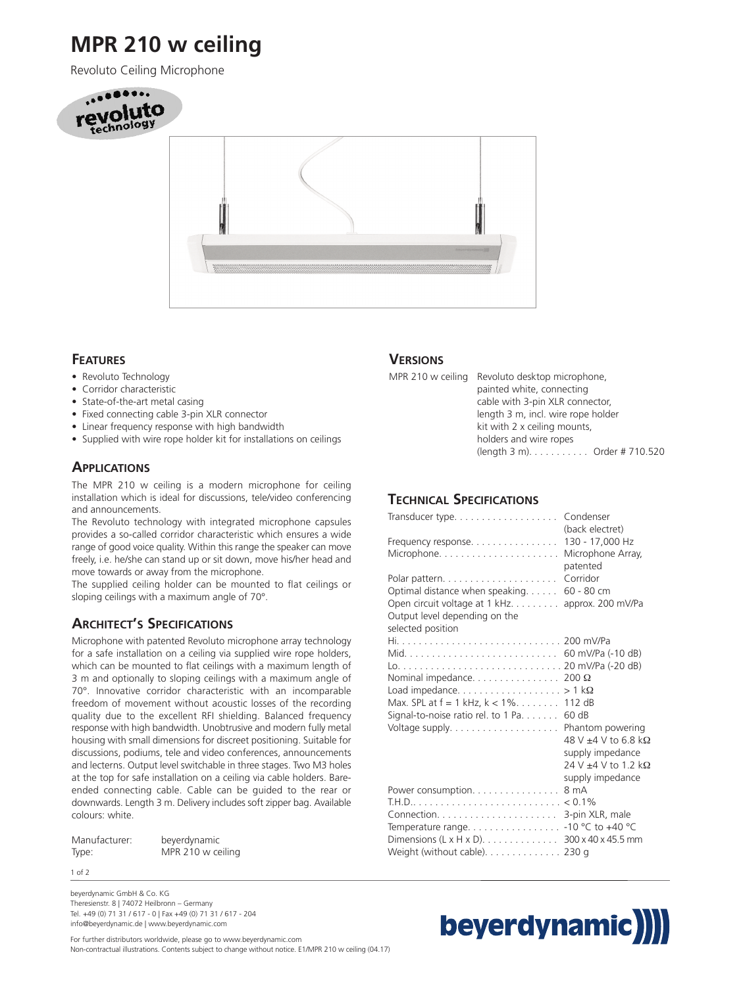# **MPR 210 w ceiling**

Revoluto Ceiling Microphone





#### **FEATURES**

- Revoluto Technology
- Corridor characteristic
- State-of-the-art metal casing
- Fixed connecting cable 3-pin XLR connector
- Linear frequency response with high bandwidth
- Supplied with wire rope holder kit for installations on ceilings

### **APPLICATIONS**

The MPR 210 w ceiling is a modern microphone for ceiling installation which is ideal for discussions, tele/video conferencing and announcements.

The Revoluto technology with integrated microphone capsules provides a so-called corridor characteristic which ensures a wide range of good voice quality. Within this range the speaker can move freely, i.e. he/she can stand up or sit down, move his/her head and move towards or away from the microphone.

The supplied ceiling holder can be mounted to flat ceilings or sloping ceilings with a maximum angle of 70°.

### **ARCHITECT'S SPECIFICATIONS**

Microphone with patented Revoluto microphone array technology for a safe installation on a ceiling via supplied wire rope holders, which can be mounted to flat ceilings with a maximum length of 3 m and optionally to sloping ceilings with a maximum angle of 70°. Innovative corridor characteristic with an incomparable freedom of movement without acoustic losses of the recording quality due to the excellent RFI shielding. Balanced frequency response with high bandwidth. Unobtrusive and modern fully metal housing with small dimensions for discreet positioning. Suitable for discussions, podiums, tele and video conferences, announcements and lecterns. Output level switchable in three stages. Two M3 holes at the top for safe installation on a ceiling via cable holders. Bareended connecting cable. Cable can be guided to the rear or downwards. Length 3 m. Delivery includes soft zipper bag. Available colours: white.

| Manufacturer: | beyerdynamic      |
|---------------|-------------------|
| Type:         | MPR 210 w ceiling |

1 of 2

beyerdynamic GmbH & Co. KG Theresienstr. 8 | 74072 Heilbronn – Germany Tel. +49 (0) 71 31 / 617 - 0 | Fax +49 (0) 71 31 / 617 - 204 info@beyerdynamic.de | www.beyerdynamic.com

#### **VERSIONS**

MPR 210 w ceiling Revoluto desktop microphone, painted white, connecting cable with 3-pin XLR connector, length 3 m, incl. wire rope holder kit with 2 x ceiling mounts, holders and wire ropes (length 3 m). . . . . . . . . . . Order # 710.520

### **TECHNICAL SPECIFICATIONS**

| Transducer type                                                                                                                          | Condenser<br>(back electret)                                                        |
|------------------------------------------------------------------------------------------------------------------------------------------|-------------------------------------------------------------------------------------|
| Frequency response                                                                                                                       | 130 - 17,000 Hz<br>Microphone Array,<br>patented                                    |
| Polar pattern<br>Optimal distance when speaking.<br>Open circuit voltage at 1 kHz.<br>Output level depending on the<br>selected position | Corridor<br>$60 - 80$ cm<br>approx. 200 mV/Pa                                       |
| Max. SPL at $f = 1$ kHz, $k < 1\%$ . 112 dB<br>Signal-to-noise ratio rel. to 1 Pa. $\dots$ .                                             | 60 dB<br>$48$ V $\pm 4$ V to 6.8 kΩ<br>supply impedance<br>24 V $\pm$ 4 V to 1.2 kΩ |
| Power consumption.<br>Temperature range<br>Dimensions (L x H x D). 300 x 40 x 45.5 mm<br>Weight (without cable). 230 g                   | supply impedance<br>8 mA<br>3-pin XLR, male<br>$-10$ °C to $+40$ °C                 |



For further distributors worldwide, please go to www.beyerdynamic.com Non-contractual illustrations. Contents subject to change without notice. E1/MPR 210 w ceiling (04.17)